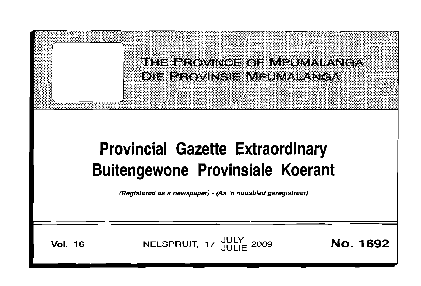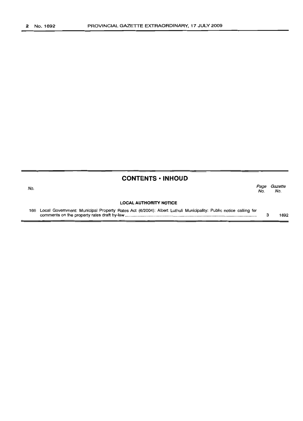|     | <b>CONTENTS · INHOUD</b>                                                                                        |             |                |
|-----|-----------------------------------------------------------------------------------------------------------------|-------------|----------------|
| No. |                                                                                                                 | Page<br>No. | Gazette<br>No. |
|     | <b>LOCAL AUTHORITY NOTICE</b>                                                                                   |             |                |
| 166 | Local Government: Municipal Property Rates Act (6/2004): Albert Luthuli Municipality: Public notice calling for |             | 1692           |